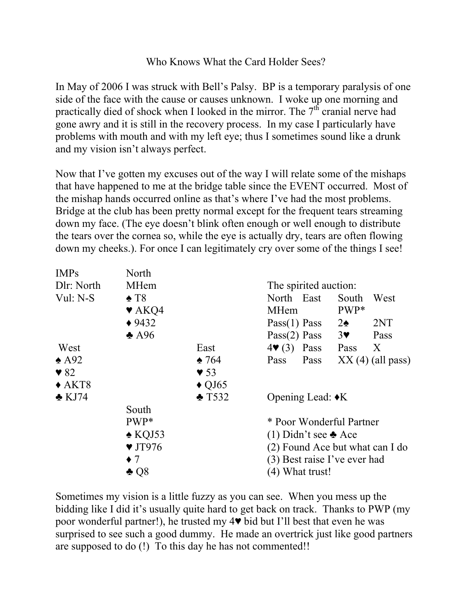## Who Knows What the Card Holder Sees?

In May of 2006 I was struck with Bell's Palsy. BP is a temporary paralysis of one side of the face with the cause or causes unknown. I woke up one morning and practically died of shock when I looked in the mirror. The  $7<sup>th</sup>$  cranial nerve had gone awry and it is still in the recovery process. In my case I particularly have problems with mouth and with my left eye; thus I sometimes sound like a drunk and my vision isn't always perfect.

Now that I've gotten my excuses out of the way I will relate some of the mishaps that have happened to me at the bridge table since the EVENT occurred. Most of the mishap hands occurred online as that's where I've had the most problems. Bridge at the club has been pretty normal except for the frequent tears streaming down my face. (The eye doesn't blink often enough or well enough to distribute the tears over the cornea so, while the eye is actually dry, tears are often flowing down my cheeks.). For once I can legitimately cry over some of the things I see!

| <b>IMPs</b>             | North                      |                         |                                 |                        |  |  |  |
|-------------------------|----------------------------|-------------------------|---------------------------------|------------------------|--|--|--|
| Dlr: North              | MHem                       |                         |                                 | The spirited auction:  |  |  |  |
| Vul: N-S                | $\triangle$ T8             |                         | North East                      | South<br>West          |  |  |  |
|                         | $\blacktriangledown$ AKQ4  |                         | <b>MHem</b>                     | PWP*                   |  |  |  |
|                         | $*9432$                    |                         | Pass(1) Pass                    | 2NT<br>$2\spadesuit$   |  |  |  |
|                         | $\triangle$ A96            |                         | Pass(2) Pass                    | 3 <sup>4</sup><br>Pass |  |  |  |
| West                    |                            | East                    | $4\blacktriangledown(3)$ Pass   | X<br>Pass              |  |  |  |
| $\triangle$ A92         |                            | $\triangle 764$         | Pass<br>Pass                    | $XX(4)$ (all pass)     |  |  |  |
| $\blacktriangledown 82$ |                            | $\blacktriangledown$ 53 |                                 |                        |  |  |  |
| $\triangle$ AKT8        |                            | $\triangle$ QJ65        |                                 |                        |  |  |  |
| $\triangle$ KJ74        |                            | $\triangle$ T532        | Opening Lead: $\triangleleft K$ |                        |  |  |  |
|                         | South                      |                         |                                 |                        |  |  |  |
|                         | PWP*                       |                         | * Poor Wonderful Partner        |                        |  |  |  |
|                         | $\triangle$ KQJ53          |                         | (1) Didn't see $\triangle$ Ace  |                        |  |  |  |
|                         | $\blacktriangledown$ JT976 |                         | (2) Found Ace but what can I do |                        |  |  |  |
|                         | $\bullet$ 7                |                         | (3) Best raise I've ever had    |                        |  |  |  |
|                         | $\clubsuit$ Q8             |                         | (4) What trust!                 |                        |  |  |  |

Sometimes my vision is a little fuzzy as you can see. When you mess up the bidding like I did it's usually quite hard to get back on track. Thanks to PWP (my poor wonderful partner!), he trusted my 4♥ bid but I'll best that even he was surprised to see such a good dummy. He made an overtrick just like good partners are supposed to do (!) To this day he has not commented!!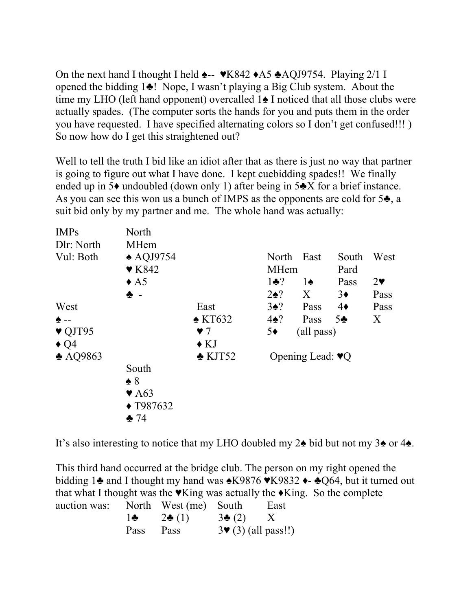On the next hand I thought I held ♠-- ♥K842 ♦A5 ♣AQJ9754. Playing 2/1 I opened the bidding 1♣! Nope, I wasn't playing a Big Club system. About the time my LHO (left hand opponent) overcalled 1♠ I noticed that all those clubs were actually spades. (The computer sorts the hands for you and puts them in the order you have requested. I have specified alternating colors so I don't get confused!!! ) So now how do I get this straightened out?

Well to tell the truth I bid like an idiot after that as there is just no way that partner is going to figure out what I have done. I kept cuebidding spades!! We finally ended up in 5♦ undoubled (down only 1) after being in 5♣X for a brief instance. As you can see this won us a bunch of IMPS as the opponents are cold for 5♣, a suit bid only by my partner and me. The whole hand was actually:

| <b>IMPs</b>                | North                     |                      |                                    |               |                |                       |
|----------------------------|---------------------------|----------------------|------------------------------------|---------------|----------------|-----------------------|
| Dlr: North                 | MHem                      |                      |                                    |               |                |                       |
| Vul: Both                  | $\triangle$ AQJ9754       |                      | North                              | East          | South          | West                  |
|                            | $\blacktriangledown$ K842 |                      | <b>MHem</b>                        |               | Pard           |                       |
|                            | $\triangle$ A5            |                      | $1\bullet$ ?                       | $1\spadesuit$ | Pass           | $2\blacktriangledown$ |
|                            | ♣ -                       |                      | $2\spadesuit$ ?                    | X             | $3\bullet$     | Pass                  |
| West                       |                           | East                 | $3\spadesuit$ ?                    | Pass          | $4\bullet$     | Pass                  |
| $\triangle$ --             |                           | $\triangle$ KT632    | $4\spadesuit$ ?                    | Pass          | 5 <sub>2</sub> | X                     |
| $\blacktriangledown$ QJT95 |                           | $\blacktriangledown$ | $5\bullet$                         | (all pass)    |                |                       |
| $\triangleleft$ Q4         |                           | $\triangle$ KJ       |                                    |               |                |                       |
| $\triangle$ AQ9863         |                           | $\triangle$ KJT52    | Opening Lead: $\blacktriangledown$ |               |                |                       |
|                            | South                     |                      |                                    |               |                |                       |
|                            | $\triangle$ 8             |                      |                                    |               |                |                       |
|                            | $\blacktriangledown$ A63  |                      |                                    |               |                |                       |
|                            | $\triangle$ T987632       |                      |                                    |               |                |                       |
|                            | 24                        |                      |                                    |               |                |                       |

It's also interesting to notice that my LHO doubled my 2♠ bid but not my 3♠ or 4♠.

This third hand occurred at the bridge club. The person on my right opened the bidding 1♣ and I thought my hand was ♠K9876 ♥K9832 ♦- ♣Q64, but it turned out that what I thought was the  $\blacktriangledown$ King was actually the  $\blacktriangledown$ King. So the complete auction was: North West (me) South East  $1\clubsuit$  2 $\clubsuit$  (1) 3 $\clubsuit$  (2) X Pass Pass  $3 \times (3)$  (all pass!!)